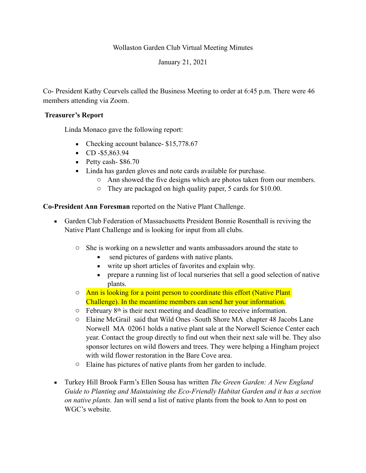## Wollaston Garden Club Virtual Meeting Minutes

January 21, 2021

Co- President Kathy Ceurvels called the Business Meeting to order at 6:45 p.m. There were 46 members attending via Zoom.

## **Treasurer's Report**

Linda Monaco gave the following report:

- Checking account balance- \$15,778.67
- $\text{CD } -\$5,863.94$
- Petty cash- \$86.70
- Linda has garden gloves and note cards available for purchase.
	- o Ann showed the five designs which are photos taken from our members.
	- o They are packaged on high quality paper, 5 cards for \$10.00.

**Co-President Ann Foresman** reported on the Native Plant Challenge.

- **Garden Club Federation of Massachusetts President Bonnie Rosenthall is reviving the** Native Plant Challenge and is looking for input from all clubs.
	- o She is working on a newsletter and wants ambassadors around the state to
		- send pictures of gardens with native plants.
		- write up short articles of favorites and explain why.
		- **•** prepare a running list of local nurseries that sell a good selection of native plants.
	- $\circ$  Ann is looking for a point person to coordinate this effort (Native Plant) Challenge). In the meantime members can send her your information.
	- $\circ$  February 8<sup>th</sup> is their next meeting and deadline to receive information.
	- o Elaine McGrail said that Wild Ones -South Shore MA chapter 48 Jacobs Lane Norwell MA 02061 holds a native plant sale at the Norwell Science Center each year. Contact the group directly to find out when their next sale will be. They also sponsor lectures on wild flowers and trees. They were helping a Hingham project with wild flower restoration in the Bare Cove area.
	- o Elaine has pictures of native plants from her garden to include.
- Turkey Hill Brook Farm's Ellen Sousa has written *The Green Garden: A New England Guide to Planting and Maintaining the Eco-Friendly Habitat Garden and it has a section on native plants.* Jan will send a list of native plants from the book to Ann to post on WGC's website.